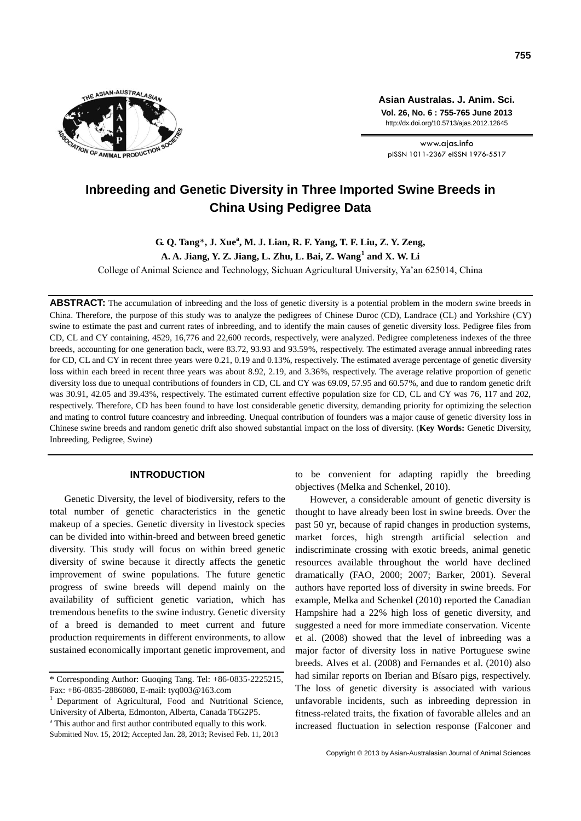

**Asian Australas. J. Anim. Sci. Vol. 26, No. 6 : 755-765 June 2013** http://dx.doi.org/10.5713/ajas.2012.12645

www.ajas.info pISSN 1011-2367 eISSN 1976-5517

# **Inbreeding and Genetic Diversity in Three Imported Swine Breeds in China Using Pedigree Data**

**G. Q. Tang**\***, J. Xue<sup>a</sup> , M. J. Lian, R. F. Yang, T. F. Liu, Z. Y. Zeng,**

**A. A. Jiang, Y. Z. Jiang, L. Zhu, L. Bai, Z. Wang<sup>1</sup> and X. W. Li**

College of Animal Science and Technology, Sichuan Agricultural University, Ya'an 625014, China

**ABSTRACT:** The accumulation of inbreeding and the loss of genetic diversity is a potential problem in the modern swine breeds in China. Therefore, the purpose of this study was to analyze the pedigrees of Chinese Duroc (CD), Landrace (CL) and Yorkshire (CY) swine to estimate the past and current rates of inbreeding, and to identify the main causes of genetic diversity loss. Pedigree files from CD, CL and CY containing, 4529, 16,776 and 22,600 records, respectively, were analyzed. Pedigree completeness indexes of the three breeds, accounting for one generation back, were 83.72, 93.93 and 93.59%, respectively. The estimated average annual inbreeding rates for CD, CL and CY in recent three years were 0.21, 0.19 and 0.13%, respectively. The estimated average percentage of genetic diversity loss within each breed in recent three years was about 8.92, 2.19, and 3.36%, respectively. The average relative proportion of genetic diversity loss due to unequal contributions of founders in CD, CL and CY was 69.09, 57.95 and 60.57%, and due to random genetic drift was 30.91, 42.05 and 39.43%, respectively. The estimated current effective population size for CD, CL and CY was 76, 117 and 202, respectively. Therefore, CD has been found to have lost considerable genetic diversity, demanding priority for optimizing the selection and mating to control future coancestry and inbreeding. Unequal contribution of founders was a major cause of genetic diversity loss in Chinese swine breeds and random genetic drift also showed substantial impact on the loss of diversity. (**Key Words:** Genetic Diversity, Inbreeding, Pedigree, Swine)

# **INTRODUCTION**

Genetic Diversity, the level of biodiversity, refers to the total number of genetic characteristics in the genetic makeup of a species. Genetic diversity in livestock species can be divided into within-breed and between breed genetic diversity. This study will focus on within breed genetic diversity of swine because it directly affects the genetic improvement of swine populations. The future genetic progress of swine breeds will depend mainly on the availability of sufficient genetic variation, which has tremendous benefits to the swine industry. Genetic diversity of a breed is demanded to meet current and future production requirements in different environments, to allow sustained economically important genetic improvement, and

<sup>a</sup> This author and first author contributed equally to this work. Submitted Nov. 15, 2012; Accepted Jan. 28, 2013; Revised Feb. 11, 2013 to be convenient for adapting rapidly the breeding objectives (Melka and Schenkel, 2010).

However, a considerable amount of genetic diversity is thought to have already been lost in swine breeds. Over the past 50 yr, because of rapid changes in production systems, market forces, high strength artificial selection and indiscriminate crossing with exotic breeds, animal genetic resources available throughout the world have declined dramatically (FAO, 2000; 2007; Barker, 2001). Several authors have reported loss of diversity in swine breeds. For example, Melka and Schenkel (2010) reported the Canadian Hampshire had a 22% high loss of genetic diversity, and suggested a need for more immediate conservation. Vicente et al. (2008) showed that the level of inbreeding was a major factor of diversity loss in native Portuguese swine breeds. Alves et al. (2008) and Fernandes et al. (2010) also had similar reports on Iberian and Bísaro pigs, respectively. The loss of genetic diversity is associated with various unfavorable incidents, such as inbreeding depression in fitness-related traits, the fixation of favorable alleles and an increased fluctuation in selection response (Falconer and

<sup>\*</sup> Corresponding Author: Guoqing Tang. Tel: +86-0835-2225215, Fax: +86-0835-2886080, E-mail: tyq003@163.com

<sup>1</sup> Department of Agricultural, Food and Nutritional Science, University of Alberta, Edmonton, Alberta, Canada T6G2P5.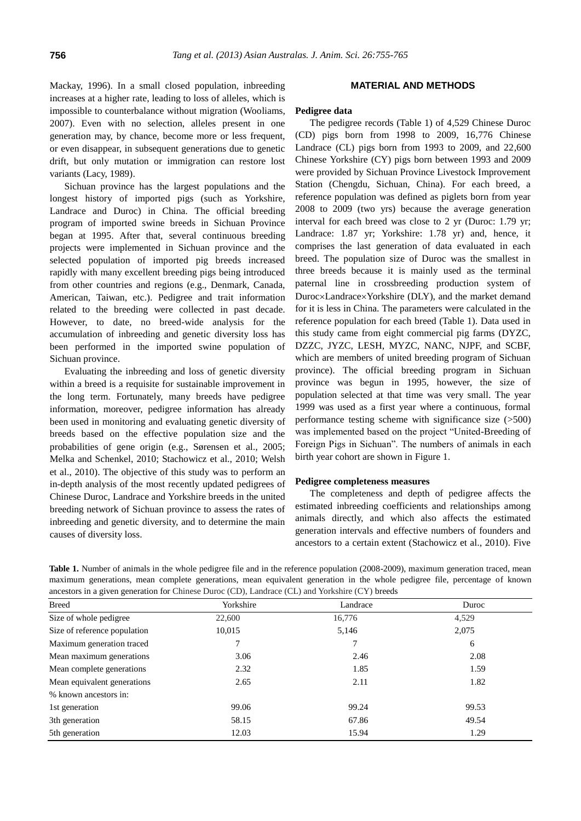Mackay, 1996). In a small closed population, inbreeding increases at a higher rate, leading to loss of alleles, which is impossible to counterbalance without migration (Wooliams, 2007). Even with no selection, alleles present in one generation may, by chance, become more or less frequent, or even disappear, in subsequent generations due to genetic drift, but only mutation or immigration can restore lost variants (Lacy, 1989).

Sichuan province has the largest populations and the longest history of imported pigs (such as Yorkshire, Landrace and Duroc) in China. The official breeding program of imported swine breeds in Sichuan Province began at 1995. After that, several continuous breeding projects were implemented in Sichuan province and the selected population of imported pig breeds increased rapidly with many excellent breeding pigs being introduced from other countries and regions (e.g., Denmark, Canada, American, Taiwan, etc.). Pedigree and trait information related to the breeding were collected in past decade. However, to date, no breed-wide analysis for the accumulation of inbreeding and genetic diversity loss has been performed in the imported swine population of Sichuan province.

Evaluating the inbreeding and loss of genetic diversity within a breed is a requisite for sustainable improvement in the long term. Fortunately, many breeds have pedigree information, moreover, pedigree information has already been used in monitoring and evaluating genetic diversity of breeds based on the effective population size and the probabilities of gene origin (e.g., Sørensen et al., 2005; Melka and Schenkel, 2010; Stachowicz et al., 2010; Welsh et al., 2010). The objective of this study was to perform an in-depth analysis of the most recently updated pedigrees of Chinese Duroc, Landrace and Yorkshire breeds in the united breeding network of Sichuan province to assess the rates of inbreeding and genetic diversity, and to determine the main causes of diversity loss.

# **MATERIAL AND METHODS**

# **Pedigree data**

The pedigree records (Table 1) of 4,529 Chinese Duroc (CD) pigs born from 1998 to 2009, 16,776 Chinese Landrace (CL) pigs born from 1993 to 2009, and 22,600 Chinese Yorkshire (CY) pigs born between 1993 and 2009 were provided by Sichuan Province Livestock Improvement Station (Chengdu, Sichuan, China). For each breed, a reference population was defined as piglets born from year 2008 to 2009 (two yrs) because the average generation interval for each breed was close to 2 yr (Duroc: 1.79 yr; Landrace: 1.87 yr; Yorkshire: 1.78 yr) and, hence, it comprises the last generation of data evaluated in each breed. The population size of Duroc was the smallest in three breeds because it is mainly used as the terminal paternal line in crossbreeding production system of Duroc×Landrace×Yorkshire (DLY), and the market demand for it is less in China. The parameters were calculated in the reference population for each breed (Table 1). Data used in this study came from eight commercial pig farms (DYZC, DZZC, JYZC, LESH, MYZC, NANC, NJPF, and SCBF, which are members of united breeding program of Sichuan province). The official breeding program in Sichuan province was begun in 1995, however, the size of population selected at that time was very small. The year 1999 was used as a first year where a continuous, formal performance testing scheme with significance size (>500) was implemented based on the project "United-Breeding of Foreign Pigs in Sichuan". The numbers of animals in each birth year cohort are shown in Figure 1.

## **Pedigree completeness measures**

The completeness and depth of pedigree affects the estimated inbreeding coefficients and relationships among animals directly, and which also affects the estimated generation intervals and effective numbers of founders and ancestors to a certain extent (Stachowicz et al., 2010). Five

| ancestors in a given generation for Chinese Duroc (CD), Landrace (CL) and Yorkshire (CY) breeds |           |          |       |  |  |  |
|-------------------------------------------------------------------------------------------------|-----------|----------|-------|--|--|--|
| <b>Breed</b>                                                                                    | Yorkshire | Landrace | Duroc |  |  |  |
| Size of whole pedigree                                                                          | 22,600    | 16,776   | 4.529 |  |  |  |
| Size of reference population                                                                    | 10,015    | 5,146    | 2,075 |  |  |  |
| Maximum generation traced                                                                       |           |          | 6     |  |  |  |
| Mean maximum generations                                                                        | 3.06      | 2.46     | 2.08  |  |  |  |
| Mean complete generations                                                                       | 2.32      | 1.85     | 1.59  |  |  |  |
| Mean equivalent generations                                                                     | 2.65      | 2.11     | 1.82  |  |  |  |
| % known ancestors in:                                                                           |           |          |       |  |  |  |
| 1st generation                                                                                  | 99.06     | 99.24    | 99.53 |  |  |  |
| 3th generation                                                                                  | 58.15     | 67.86    | 49.54 |  |  |  |
| 5th generation                                                                                  | 12.03     | 15.94    | 1.29  |  |  |  |

**Table 1.** Number of animals in the whole pedigree file and in the reference population (2008-2009), maximum generation traced, mean maximum generations, mean complete generations, mean equivalent generation in the whole pedigree file, percentage of known<br>generation is a given generation for Chinage CDM Landress (CL) and Verkehim (CV) broads ancestors in a given generation for Chinese Duroc (CD), Landrace (CL) and Yorkshire (CY) breeds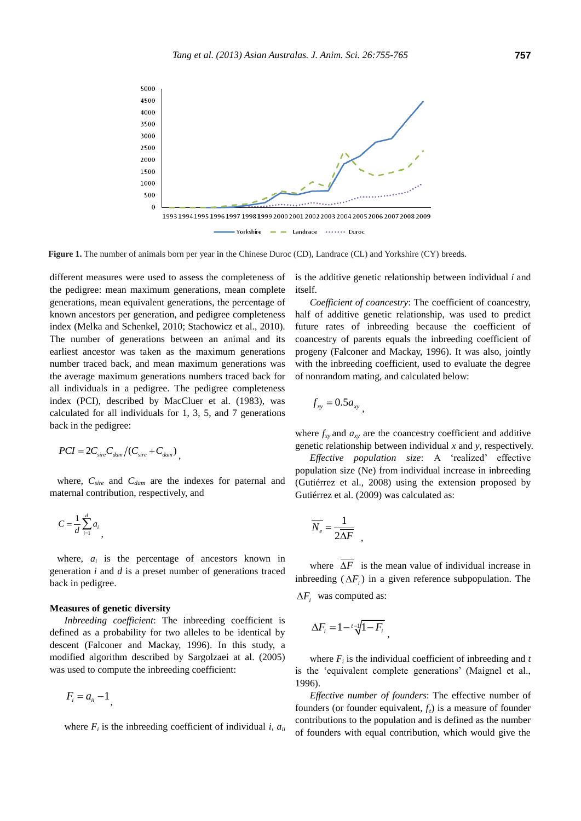

**Figure 1.** The number of animals born per year in the Chinese Duroc (CD), Landrace (CL) and Yorkshire (CY) breeds.

different measures were used to assess the completeness of the pedigree: mean maximum generations, mean complete generations, mean equivalent generations, the percentage of known ancestors per generation, and pedigree completeness index (Melka and Schenkel, 2010; Stachowicz et al., 2010). The number of generations between an animal and its earliest ancestor was taken as the maximum generations number traced back, and mean maximum generations was the average maximum generations numbers traced back for all individuals in a pedigree. The pedigree completeness index (PCI), described by MacCluer et al. (1983), was calculated for all individuals for 1, 3, 5, and 7 generations back in the pedigree:

$$
PCI = 2C_{sire}C_{dam}/(C_{sire} + C_{dam}),
$$

where, *Csire* and *Cdam* are the indexes for paternal and maternal contribution, respectively, and

$$
C=\frac{1}{d}\sum_{i=1}^d a_i
$$

where,  $a_i$  is the percentage of ancestors known in generation *i* and *d* is a preset number of generations traced back in pedigree.

#### **Measures of genetic diversity**

*Inbreeding coefficient*: The inbreeding coefficient is defined as a probability for two alleles to be identical by descent (Falconer and Mackay, 1996). In this study, a modified algorithm described by Sargolzaei at al. (2005) was used to compute the inbreeding coefficient:

$$
F_i = a_{ii} - 1
$$

where  $F_i$  is the inbreeding coefficient of individual *i*,  $a_{ii}$ 

is the additive genetic relationship between individual *i* and itself.

*Coefficient of coancestry*: The coefficient of coancestry, half of additive genetic relationship, was used to predict future rates of inbreeding because the coefficient of coancestry of parents equals the inbreeding coefficient of progeny (Falconer and Mackay, 1996). It was also, jointly with the inbreeding coefficient, used to evaluate the degree of nonrandom mating, and calculated below:

$$
f_{xy}=0.5a_{xy}
$$

,

where  $f_x$  and  $a_x$  are the coancestry coefficient and additive genetic relationship between individual *x* and *y*, respectively.

*Effective population size*: A 'realized' effective population size (Ne) from individual increase in inbreeding (Gutiérrez et al., 2008) using the extension proposed by Gutiérrez et al. (2009) was calculated as:

$$
\overline{N_e} = \frac{1}{2\overline{\Delta F}}
$$

where  $\Delta F$  is the mean value of individual increase in inbreeding  $(\Delta F_i)$  in a given reference subpopulation. The  $\Delta F_i$  was computed as:

$$
\Delta F_i = 1 - \sqrt[t]{1 - F_i}
$$

where  $F_i$  is the individual coefficient of inbreeding and  $t$ is the 'equivalent complete generations' (Maignel et al., 1996).

*Effective number of founders*: The effective number of founders (or founder equivalent, *fe*) is a measure of founder contributions to the population and is defined as the number of founders with equal contribution, which would give the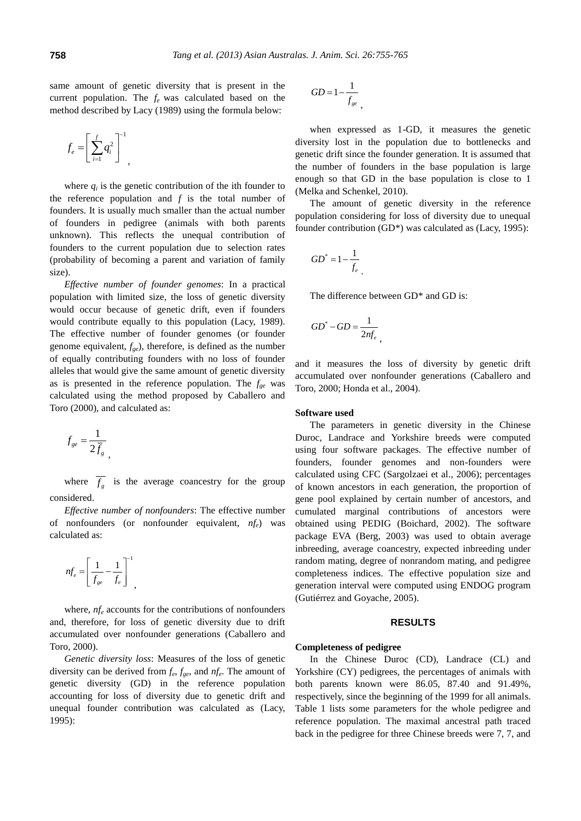same amount of genetic diversity that is present in the current population. The *f<sup>e</sup>* was calculated based on the method described by Lacy (1989) using the formula below:

$$
f_e = \left[\sum_{i=1}^f q_i^2\right]^{-1}
$$

,

where  $q_i$  is the genetic contribution of the ith founder to the reference population and *f* is the total number of founders. It is usually much smaller than the actual number of founders in pedigree (animals with both parents unknown). This reflects the unequal contribution of founders to the current population due to selection rates (probability of becoming a parent and variation of family size).

*Effective number of founder genomes*: In a practical population with limited size, the loss of genetic diversity would occur because of genetic drift, even if founders would contribute equally to this population (Lacy, 1989). The effective number of founder genomes (or founder genome equivalent, *fge*), therefore, is defined as the number of equally contributing founders with no loss of founder alleles that would give the same amount of genetic diversity as is presented in the reference population. The *fge* was calculated using the method proposed by Caballero and Toro (2000), and calculated as:

$$
f_{ge} = \frac{1}{2\overline{f}_g},
$$

where  $f<sub>g</sub>$  is the average coancestry for the group considered.

*Effective number of nonfounders*: The effective number of nonfounders (or nonfounder equivalent, *nfe*) was calculated as:

$$
nf_e = \left[\frac{1}{f_{ge}} - \frac{1}{f_e}\right]^{-1},
$$

where,  $n_f$ <sup>*e*</sup> accounts for the contributions of nonfounders and, therefore, for loss of genetic diversity due to drift accumulated over nonfounder generations (Caballero and Toro, 2000).

*Genetic diversity loss*: Measures of the loss of genetic diversity can be derived from *f<sup>e</sup>* , *fge*, and *nf<sup>e</sup>* . The amount of genetic diversity (GD) in the reference population accounting for loss of diversity due to genetic drift and unequal founder contribution was calculated as (Lacy, 1995):

$$
GD = 1 - \frac{1}{f_{ge}},
$$

when expressed as 1-GD, it measures the genetic diversity lost in the population due to bottlenecks and genetic drift since the founder generation. It is assumed that the number of founders in the base population is large enough so that GD in the base population is close to 1 (Melka and Schenkel, 2010).

The amount of genetic diversity in the reference population considering for loss of diversity due to unequal founder contribution (GD\*) was calculated as (Lacy, 1995):

$$
GD^* = 1 - \frac{1}{f_e}
$$

The difference between GD<sup>\*</sup> and GD is:

$$
GD^* - GD = \frac{1}{2nf_e}
$$

and it measures the loss of diversity by genetic drift accumulated over nonfounder generations (Caballero and Toro, 2000; Honda et al., 2004).

#### **Software used**

The parameters in genetic diversity in the Chinese Duroc, Landrace and Yorkshire breeds were computed using four software packages. The effective number of founders, founder genomes and non-founders were calculated using CFC (Sargolzaei et al., 2006); percentages of known ancestors in each generation, the proportion of gene pool explained by certain number of ancestors, and cumulated marginal contributions of ancestors were obtained using PEDIG (Boichard, 2002). The software package EVA (Berg, 2003) was used to obtain average inbreeding, average coancestry, expected inbreeding under random mating, degree of nonrandom mating, and pedigree completeness indices. The effective population size and generation interval were computed using ENDOG program (Gutiérrez and Goyache, 2005).

# **RESULTS**

## **Completeness of pedigree**

In the Chinese Duroc (CD), Landrace (CL) and Yorkshire (CY) pedigrees, the percentages of animals with both parents known were 86.05, 87.40 and 91.49%, respectively, since the beginning of the 1999 for all animals. Table 1 lists some parameters for the whole pedigree and reference population. The maximal ancestral path traced back in the pedigree for three Chinese breeds were 7, 7, and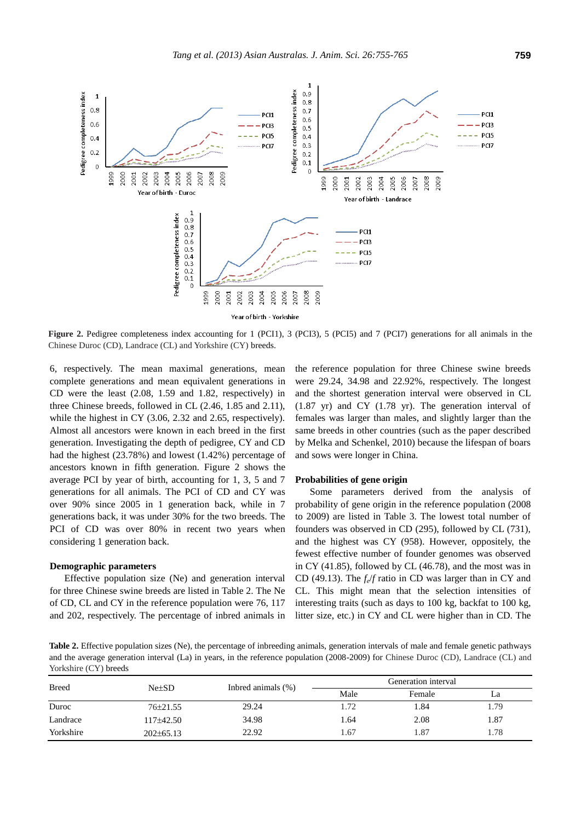

**Figure 2.** Pedigree completeness index accounting for 1 (PCI1), 3 (PCI3), 5 (PCI5) and 7 (PCI7) generations for all animals in the Chinese Duroc (CD), Landrace (CL) and Yorkshire (CY) breeds.

6, respectively. The mean maximal generations, mean complete generations and mean equivalent generations in CD were the least (2.08, 1.59 and 1.82, respectively) in three Chinese breeds, followed in CL (2.46, 1.85 and 2.11), while the highest in CY (3.06, 2.32 and 2.65, respectively). Almost all ancestors were known in each breed in the first generation. Investigating the depth of pedigree, CY and CD had the highest (23.78%) and lowest (1.42%) percentage of ancestors known in fifth generation. Figure 2 shows the average PCI by year of birth, accounting for 1, 3, 5 and 7 generations for all animals. The PCI of CD and CY was over 90% since 2005 in 1 generation back, while in 7 generations back, it was under 30% for the two breeds. The PCI of CD was over 80% in recent two years when considering 1 generation back.

#### **Demographic parameters**

Effective population size (Ne) and generation interval for three Chinese swine breeds are listed in Table 2. The Ne of CD, CL and CY in the reference population were 76, 117 and 202, respectively. The percentage of inbred animals in the reference population for three Chinese swine breeds were 29.24, 34.98 and 22.92%, respectively. The longest and the shortest generation interval were observed in CL (1.87 yr) and CY (1.78 yr). The generation interval of females was larger than males, and slightly larger than the same breeds in other countries (such as the paper described by Melka and Schenkel, 2010) because the lifespan of boars and sows were longer in China.

#### **Probabilities of gene origin**

Some parameters derived from the analysis of probability of gene origin in the reference population (2008 to 2009) are listed in Table 3. The lowest total number of founders was observed in CD (295), followed by CL (731), and the highest was CY (958). However, oppositely, the fewest effective number of founder genomes was observed in CY (41.85), followed by CL (46.78), and the most was in CD (49.13). The  $f_e/f$  ratio in CD was larger than in CY and CL. This might mean that the selection intensities of interesting traits (such as days to 100 kg, backfat to 100 kg, litter size, etc.) in CY and CL were higher than in CD. The

**Table 2.** Effective population sizes (Ne), the percentage of inbreeding animals, generation intervals of male and female genetic pathways and the average generation interval (La) in years, in the reference population (2008-2009) for Chinese Duroc (CD), Landrace (CL) and Yorkshire (CY) breeds

| <b>Breed</b> | $Ne+SD$        | Indeed animals $(\%)$ | Generation interval |        |      |
|--------------|----------------|-----------------------|---------------------|--------|------|
|              |                |                       | Male                | Female | La   |
| Duroc        | $76 \pm 21.55$ | 29.24                 | 1.72                | 1.84   | .79  |
| Landrace     | $117\pm42.50$  | 34.98                 | 1.64                | 2.08   | 1.87 |
| Yorkshire    | $202\pm 65.13$ | 22.92                 | 1.67                | 1.87   | .78  |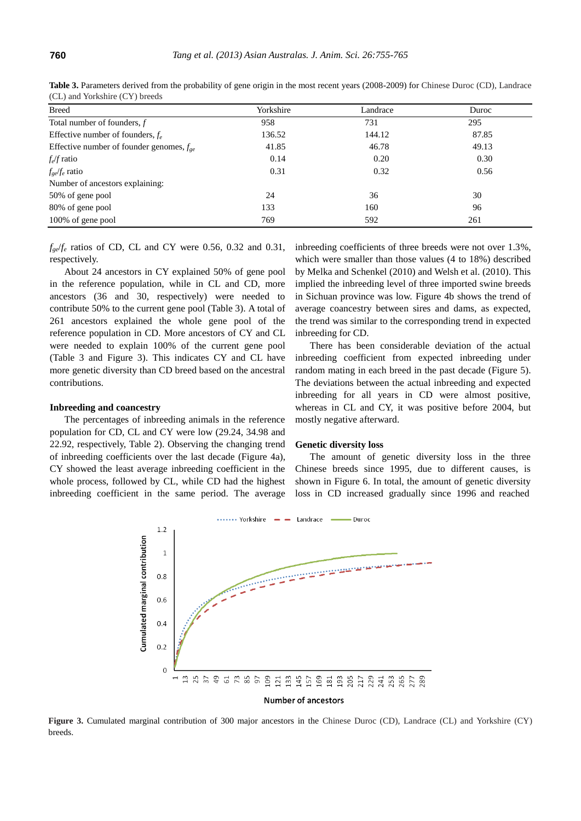| <b>Breed</b>                                  | Yorkshire | Landrace | Duroc |
|-----------------------------------------------|-----------|----------|-------|
| Total number of founders, $f$                 | 958       | 731      | 295   |
| Effective number of founders, $f_e$           | 136.52    | 144.12   | 87.85 |
| Effective number of founder genomes, $f_{ge}$ | 41.85     | 46.78    | 49.13 |
| $f_e$ ratio                                   | 0.14      | 0.20     | 0.30  |
| $f_{ge}/f_e$ ratio                            | 0.31      | 0.32     | 0.56  |
| Number of ancestors explaining:               |           |          |       |
| 50% of gene pool                              | 24        | 36       | 30    |
| 80% of gene pool                              | 133       | 160      | 96    |
| 100% of gene pool                             | 769       | 592      | 261   |

**Table 3.** Parameters derived from the probability of gene origin in the most recent years (2008-2009) for Chinese Duroc (CD), Landrace (CL) and Yorkshire (CY) breeds

 $f_{ge}/f_e$  ratios of CD, CL and CY were 0.56, 0.32 and 0.31, respectively.

About 24 ancestors in CY explained 50% of gene pool in the reference population, while in CL and CD, more ancestors (36 and 30, respectively) were needed to contribute 50% to the current gene pool (Table 3). A total of 261 ancestors explained the whole gene pool of the reference population in CD. More ancestors of CY and CL were needed to explain 100% of the current gene pool (Table 3 and Figure 3). This indicates CY and CL have more genetic diversity than CD breed based on the ancestral contributions.

#### **Inbreeding and coancestry**

The percentages of inbreeding animals in the reference population for CD, CL and CY were low (29.24, 34.98 and 22.92, respectively, Table 2). Observing the changing trend of inbreeding coefficients over the last decade (Figure 4a), CY showed the least average inbreeding coefficient in the whole process, followed by CL, while CD had the highest inbreeding coefficient in the same period. The average inbreeding coefficients of three breeds were not over 1.3%, which were smaller than those values (4 to 18%) described by Melka and Schenkel (2010) and Welsh et al. (2010). This implied the inbreeding level of three imported swine breeds in Sichuan province was low. Figure 4b shows the trend of average coancestry between sires and dams, as expected, the trend was similar to the corresponding trend in expected inbreeding for CD.

There has been considerable deviation of the actual inbreeding coefficient from expected inbreeding under random mating in each breed in the past decade (Figure 5). The deviations between the actual inbreeding and expected inbreeding for all years in CD were almost positive, whereas in CL and CY, it was positive before 2004, but mostly negative afterward.

#### **Genetic diversity loss**

The amount of genetic diversity loss in the three Chinese breeds since 1995, due to different causes, is shown in Figure 6. In total, the amount of genetic diversity loss in CD increased gradually since 1996 and reached



**Figure 3.** Cumulated marginal contribution of 300 major ancestors in the Chinese Duroc (CD), Landrace (CL) and Yorkshire (CY) breeds.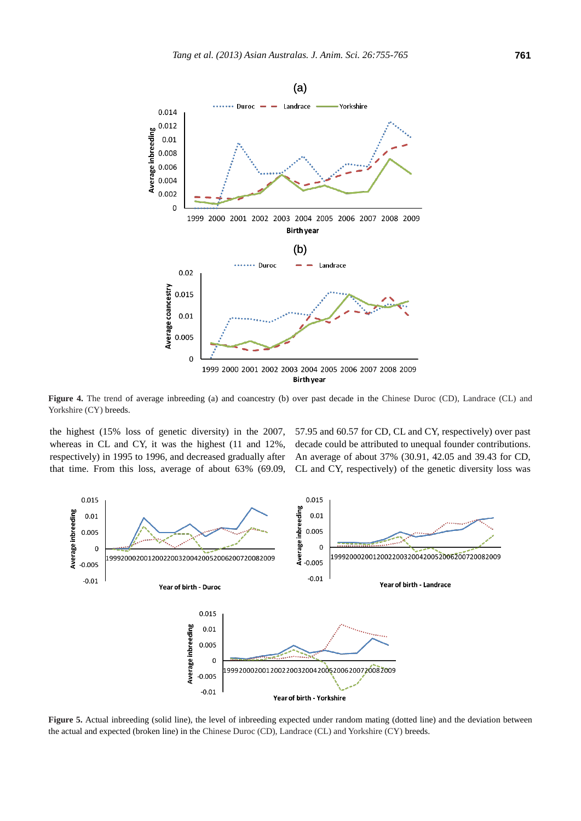

**Figure 4.** The trend of average inbreeding (a) and coancestry (b) over past decade in the Chinese Duroc (CD), Landrace (CL) and Yorkshire (CY) breeds.

the highest (15% loss of genetic diversity) in the 2007, whereas in CL and CY, it was the highest (11 and 12%, respectively) in 1995 to 1996, and decreased gradually after that time. From this loss, average of about 63% (69.09, 57.95 and 60.57 for CD, CL and CY, respectively) over past decade could be attributed to unequal founder contributions. An average of about 37% (30.91, 42.05 and 39.43 for CD, CL and CY, respectively) of the genetic diversity loss was



**Figure 5.** Actual inbreeding (solid line), the level of inbreeding expected under random mating (dotted line) and the deviation between the actual and expected (broken line) in the Chinese Duroc (CD), Landrace (CL) and Yorkshire (CY) breeds.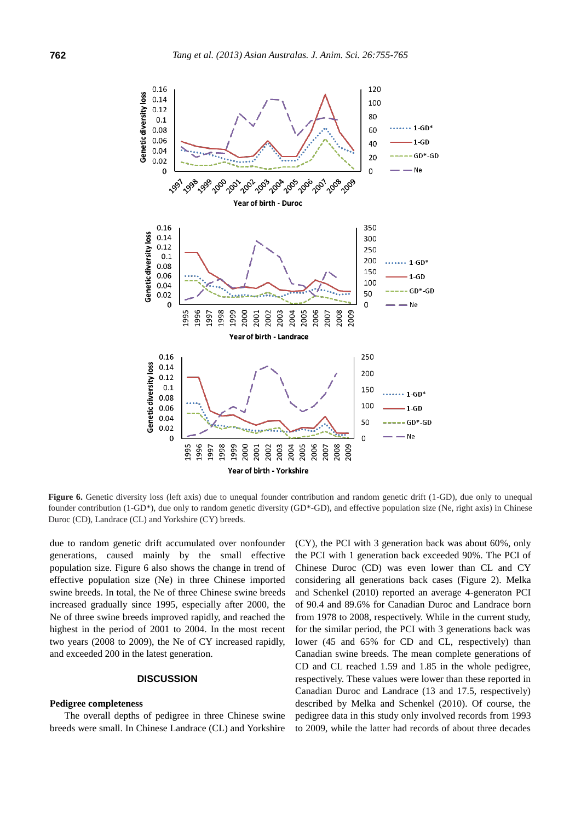

**Figure 6.** Genetic diversity loss (left axis) due to unequal founder contribution and random genetic drift (1-GD), due only to unequal founder contribution (1-GD\*), due only to random genetic diversity (GD\*-GD), and effective population size (Ne, right axis) in Chinese Duroc (CD), Landrace (CL) and Yorkshire (CY) breeds.

due to random genetic drift accumulated over nonfounder generations, caused mainly by the small effective population size. Figure 6 also shows the change in trend of effective population size (Ne) in three Chinese imported swine breeds. In total, the Ne of three Chinese swine breeds increased gradually since 1995, especially after 2000, the Ne of three swine breeds improved rapidly, and reached the highest in the period of 2001 to 2004. In the most recent two years (2008 to 2009), the Ne of CY increased rapidly, and exceeded 200 in the latest generation.

# **DISCUSSION**

#### **Pedigree completeness**

The overall depths of pedigree in three Chinese swine breeds were small. In Chinese Landrace (CL) and Yorkshire

(CY), the PCI with 3 generation back was about 60%, only the PCI with 1 generation back exceeded 90%. The PCI of Chinese Duroc (CD) was even lower than CL and CY considering all generations back cases (Figure 2). Melka and Schenkel (2010) reported an average 4-generaton PCI of 90.4 and 89.6% for Canadian Duroc and Landrace born from 1978 to 2008, respectively. While in the current study, for the similar period, the PCI with 3 generations back was lower (45 and 65% for CD and CL, respectively) than Canadian swine breeds. The mean complete generations of CD and CL reached 1.59 and 1.85 in the whole pedigree, respectively. These values were lower than these reported in Canadian Duroc and Landrace (13 and 17.5, respectively) described by Melka and Schenkel (2010). Of course, the pedigree data in this study only involved records from 1993 to 2009, while the latter had records of about three decades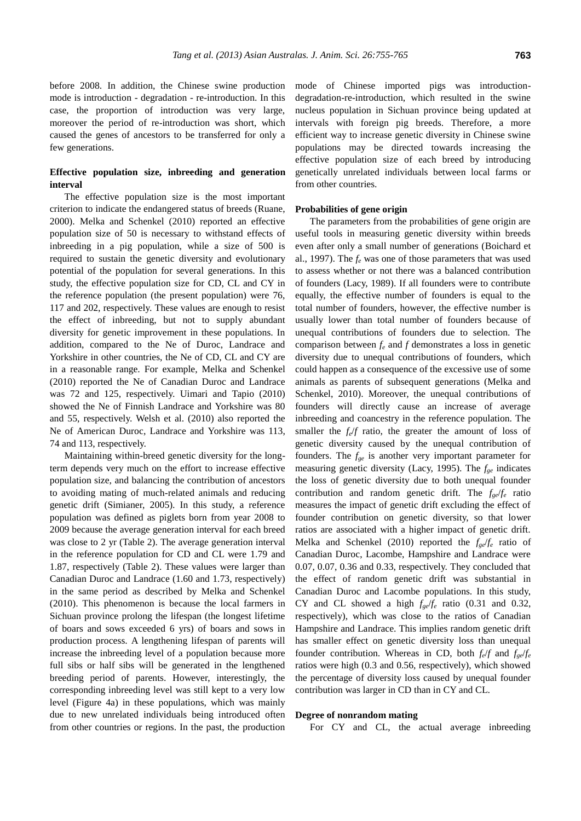before 2008. In addition, the Chinese swine production mode is introduction - degradation - re-introduction. In this case, the proportion of introduction was very large, moreover the period of re-introduction was short, which caused the genes of ancestors to be transferred for only a few generations.

# **Effective population size, inbreeding and generation interval**

The effective population size is the most important criterion to indicate the endangered status of breeds (Ruane, 2000). Melka and Schenkel (2010) reported an effective population size of 50 is necessary to withstand effects of inbreeding in a pig population, while a size of 500 is required to sustain the genetic diversity and evolutionary potential of the population for several generations. In this study, the effective population size for CD, CL and CY in the reference population (the present population) were 76, 117 and 202, respectively. These values are enough to resist the effect of inbreeding, but not to supply abundant diversity for genetic improvement in these populations. In addition, compared to the Ne of Duroc, Landrace and Yorkshire in other countries, the Ne of CD, CL and CY are in a reasonable range. For example, Melka and Schenkel (2010) reported the Ne of Canadian Duroc and Landrace was 72 and 125, respectively. Uimari and Tapio (2010) showed the Ne of Finnish Landrace and Yorkshire was 80 and 55, respectively. Welsh et al. (2010) also reported the Ne of American Duroc, Landrace and Yorkshire was 113, 74 and 113, respectively.

Maintaining within-breed genetic diversity for the longterm depends very much on the effort to increase effective population size, and balancing the contribution of ancestors to avoiding mating of much-related animals and reducing genetic drift (Simianer, 2005). In this study, a reference population was defined as piglets born from year 2008 to 2009 because the average generation interval for each breed was close to 2 yr (Table 2). The average generation interval in the reference population for CD and CL were 1.79 and 1.87, respectively (Table 2). These values were larger than Canadian Duroc and Landrace (1.60 and 1.73, respectively) in the same period as described by Melka and Schenkel (2010). This phenomenon is because the local farmers in Sichuan province prolong the lifespan (the longest lifetime of boars and sows exceeded 6 yrs) of boars and sows in production process. A lengthening lifespan of parents will increase the inbreeding level of a population because more full sibs or half sibs will be generated in the lengthened breeding period of parents. However, interestingly, the corresponding inbreeding level was still kept to a very low level (Figure 4a) in these populations, which was mainly due to new unrelated individuals being introduced often from other countries or regions. In the past, the production mode of Chinese imported pigs was introductiondegradation-re-introduction, which resulted in the swine nucleus population in Sichuan province being updated at intervals with foreign pig breeds. Therefore, a more efficient way to increase genetic diversity in Chinese swine populations may be directed towards increasing the effective population size of each breed by introducing genetically unrelated individuals between local farms or from other countries.

# **Probabilities of gene origin**

The parameters from the probabilities of gene origin are useful tools in measuring genetic diversity within breeds even after only a small number of generations (Boichard et al., 1997). The *f<sup>e</sup>* was one of those parameters that was used to assess whether or not there was a balanced contribution of founders (Lacy, 1989). If all founders were to contribute equally, the effective number of founders is equal to the total number of founders, however, the effective number is usually lower than total number of founders because of unequal contributions of founders due to selection. The comparison between  $f_e$  and  $f$  demonstrates a loss in genetic diversity due to unequal contributions of founders, which could happen as a consequence of the excessive use of some animals as parents of subsequent generations (Melka and Schenkel, 2010). Moreover, the unequal contributions of founders will directly cause an increase of average inbreeding and coancestry in the reference population. The smaller the  $f_e/f$  ratio, the greater the amount of loss of genetic diversity caused by the unequal contribution of founders. The *fge* is another very important parameter for measuring genetic diversity (Lacy, 1995). The *fge* indicates the loss of genetic diversity due to both unequal founder contribution and random genetic drift. The *fge*/*f<sup>e</sup>* ratio measures the impact of genetic drift excluding the effect of founder contribution on genetic diversity, so that lower ratios are associated with a higher impact of genetic drift. Melka and Schenkel (2010) reported the  $f_{ge}/f_e$  ratio of Canadian Duroc, Lacombe, Hampshire and Landrace were 0.07, 0.07, 0.36 and 0.33, respectively. They concluded that the effect of random genetic drift was substantial in Canadian Duroc and Lacombe populations. In this study, CY and CL showed a high  $f_{ge}/f_e$  ratio (0.31 and 0.32, respectively), which was close to the ratios of Canadian Hampshire and Landrace. This implies random genetic drift has smaller effect on genetic diversity loss than unequal founder contribution. Whereas in CD, both  $f_e/f$  and  $f_{ge}/f_e$ ratios were high (0.3 and 0.56, respectively), which showed the percentage of diversity loss caused by unequal founder contribution was larger in CD than in CY and CL.

## **Degree of nonrandom mating**

For CY and CL, the actual average inbreeding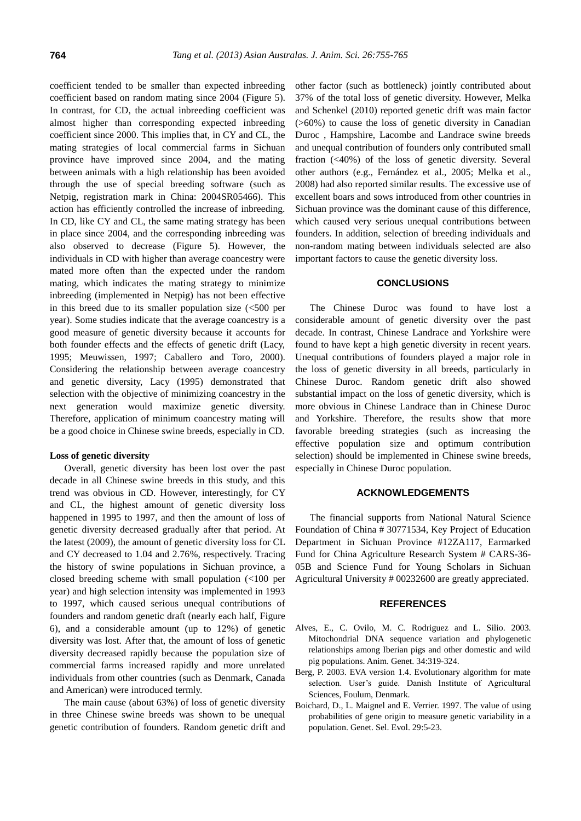coefficient tended to be smaller than expected inbreeding coefficient based on random mating since 2004 (Figure 5). In contrast, for CD, the actual inbreeding coefficient was almost higher than corresponding expected inbreeding coefficient since 2000. This implies that, in CY and CL, the mating strategies of local commercial farms in Sichuan province have improved since 2004, and the mating between animals with a high relationship has been avoided through the use of special breeding software (such as Netpig, registration mark in China: 2004SR05466). This action has efficiently controlled the increase of inbreeding. In CD, like CY and CL, the same mating strategy has been in place since 2004, and the corresponding inbreeding was also observed to decrease (Figure 5). However, the individuals in CD with higher than average coancestry were mated more often than the expected under the random mating, which indicates the mating strategy to minimize inbreeding (implemented in Netpig) has not been effective in this breed due to its smaller population size  $\langle$  <500 per year). Some studies indicate that the average coancestry is a good measure of genetic diversity because it accounts for both founder effects and the effects of genetic drift (Lacy, 1995; Meuwissen, 1997; Caballero and Toro, 2000). Considering the relationship between average coancestry and genetic diversity, Lacy (1995) demonstrated that selection with the objective of minimizing coancestry in the next generation would maximize genetic diversity. Therefore, application of minimum coancestry mating will be a good choice in Chinese swine breeds, especially in CD.

### **Loss of genetic diversity**

Overall, genetic diversity has been lost over the past decade in all Chinese swine breeds in this study, and this trend was obvious in CD. However, interestingly, for CY and CL, the highest amount of genetic diversity loss happened in 1995 to 1997, and then the amount of loss of genetic diversity decreased gradually after that period. At the latest (2009), the amount of genetic diversity loss for CL and CY decreased to 1.04 and 2.76%, respectively. Tracing the history of swine populations in Sichuan province, a closed breeding scheme with small population (<100 per year) and high selection intensity was implemented in 1993 to 1997, which caused serious unequal contributions of founders and random genetic draft (nearly each half, Figure 6), and a considerable amount (up to 12%) of genetic diversity was lost. After that, the amount of loss of genetic diversity decreased rapidly because the population size of commercial farms increased rapidly and more unrelated individuals from other countries (such as Denmark, Canada and American) were introduced termly.

The main cause (about 63%) of loss of genetic diversity in three Chinese swine breeds was shown to be unequal genetic contribution of founders. Random genetic drift and other factor (such as bottleneck) jointly contributed about 37% of the total loss of genetic diversity. However, Melka and Schenkel (2010) reported genetic drift was main factor (>60%) to cause the loss of genetic diversity in Canadian Duroc , Hampshire, Lacombe and Landrace swine breeds and unequal contribution of founders only contributed small fraction (<40%) of the loss of genetic diversity. Several other authors (e.g., Fernández et al., 2005; Melka et al., 2008) had also reported similar results. The excessive use of excellent boars and sows introduced from other countries in Sichuan province was the dominant cause of this difference, which caused very serious unequal contributions between founders. In addition, selection of breeding individuals and non-random mating between individuals selected are also important factors to cause the genetic diversity loss.

# **CONCLUSIONS**

The Chinese Duroc was found to have lost a considerable amount of genetic diversity over the past decade. In contrast, Chinese Landrace and Yorkshire were found to have kept a high genetic diversity in recent years. Unequal contributions of founders played a major role in the loss of genetic diversity in all breeds, particularly in Chinese Duroc. Random genetic drift also showed substantial impact on the loss of genetic diversity, which is more obvious in Chinese Landrace than in Chinese Duroc and Yorkshire. Therefore, the results show that more favorable breeding strategies (such as increasing the effective population size and optimum contribution selection) should be implemented in Chinese swine breeds, especially in Chinese Duroc population.

# **ACKNOWLEDGEMENTS**

The financial supports from National Natural Science Foundation of China # 30771534, Key Project of Education Department in Sichuan Province #12ZA117, Earmarked Fund for China Agriculture Research System # CARS-36- 05B and Science Fund for Young Scholars in Sichuan Agricultural University # 00232600 are greatly appreciated.

# **REFERENCES**

- Alves, E., C. Ovilo, M. C. Rodriguez and L. Silio. 2003. Mitochondrial DNA sequence variation and phylogenetic relationships among Iberian pigs and other domestic and wild pig populations. Anim. Genet. 34:319-324.
- Berg, P. 2003. EVA version 1.4. Evolutionary algorithm for mate selection. User's guide. Danish Institute of Agricultural Sciences, Foulum, Denmark.
- Boichard, D., L. Maignel and E. Verrier. 1997. The value of using probabilities of gene origin to measure genetic variability in a population. Genet. Sel. Evol. 29:5-23.